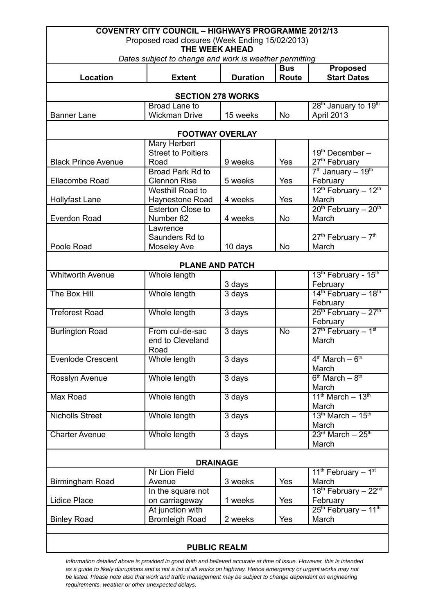| <b>COVENTRY CITY COUNCIL - HIGHWAYS PROGRAMME 2012/13</b>            |                                           |                 |              |                                                          |  |  |
|----------------------------------------------------------------------|-------------------------------------------|-----------------|--------------|----------------------------------------------------------|--|--|
| Proposed road closures (Week Ending 15/02/2013)                      |                                           |                 |              |                                                          |  |  |
| THE WEEK AHEAD                                                       |                                           |                 |              |                                                          |  |  |
| Dates subject to change and work is weather permitting<br><b>Bus</b> |                                           |                 |              |                                                          |  |  |
| <b>Location</b>                                                      | <b>Extent</b>                             | <b>Duration</b> | <b>Route</b> | <b>Proposed</b><br><b>Start Dates</b>                    |  |  |
| <b>SECTION 278 WORKS</b>                                             |                                           |                 |              |                                                          |  |  |
|                                                                      | Broad Lane to                             |                 |              | 28 <sup>th</sup> January to 19 <sup>th</sup>             |  |  |
| <b>Banner Lane</b>                                                   | <b>Wickman Drive</b>                      | 15 weeks        | <b>No</b>    | April 2013                                               |  |  |
|                                                                      |                                           |                 |              |                                                          |  |  |
| <b>FOOTWAY OVERLAY</b>                                               |                                           |                 |              |                                                          |  |  |
|                                                                      | <b>Mary Herbert</b>                       |                 |              |                                                          |  |  |
|                                                                      | <b>Street to Poitiers</b>                 |                 |              | 19th December-                                           |  |  |
| <b>Black Prince Avenue</b>                                           | Road                                      | 9 weeks         | Yes          | 27 <sup>th</sup> February                                |  |  |
|                                                                      | Broad Park Rd to                          |                 |              | $7th$ January - 19 <sup>th</sup>                         |  |  |
| Ellacombe Road                                                       | <b>Clennon Rise</b><br>Westhill Road to   | 5 weeks         | Yes          | February<br>$12^{th}$ February - $12^{th}$               |  |  |
| <b>Hollyfast Lane</b>                                                | Haynestone Road                           | 4 weeks         | Yes          | March                                                    |  |  |
|                                                                      | Esterton Close to                         |                 |              | $20th$ February - $20th$                                 |  |  |
| <b>Everdon Road</b>                                                  | Number 82                                 | 4 weeks         | No           | March                                                    |  |  |
|                                                                      | Lawrence                                  |                 |              |                                                          |  |  |
|                                                                      | Saunders Rd to                            |                 |              | $27th$ February - $7th$                                  |  |  |
| Poole Road                                                           | <b>Moseley Ave</b>                        | 10 days         | No           | March                                                    |  |  |
|                                                                      |                                           |                 |              |                                                          |  |  |
|                                                                      | <b>PLANE AND PATCH</b>                    |                 |              |                                                          |  |  |
| <b>Whitworth Avenue</b>                                              | Whole length                              |                 |              | 13th February - 15th                                     |  |  |
|                                                                      |                                           | 3 days          |              | February                                                 |  |  |
| The Box Hill                                                         | Whole length                              | 3 days          |              | $14th$ February - $18th$                                 |  |  |
| <b>Treforest Road</b>                                                | Whole length                              |                 |              | February<br>25 <sup>th</sup> February - 27 <sup>th</sup> |  |  |
|                                                                      |                                           | 3 days          |              | February                                                 |  |  |
| <b>Burlington Road</b>                                               | From cul-de-sac                           | 3 days          | <b>No</b>    | 27th February - 1st                                      |  |  |
|                                                                      | end to Cleveland                          |                 |              | March                                                    |  |  |
|                                                                      | Road                                      |                 |              |                                                          |  |  |
| <b>Evenlode Crescent</b>                                             | Whole length                              | 3 days          |              | $4th$ March $-6th$                                       |  |  |
|                                                                      |                                           |                 |              | March                                                    |  |  |
| Rosslyn Avenue                                                       | Whole length                              | 3 days          |              | $6th March - 8th$                                        |  |  |
|                                                                      |                                           |                 |              | March                                                    |  |  |
| Max Road                                                             | Whole length                              | 3 days          |              | $11th March - 13th$                                      |  |  |
|                                                                      |                                           |                 |              | March<br>$13th March - 15th$                             |  |  |
| <b>Nicholls Street</b>                                               | Whole length                              | 3 days          |              | March                                                    |  |  |
| <b>Charter Avenue</b>                                                | Whole length                              | 3 days          |              | $23rd March - 25th$                                      |  |  |
|                                                                      |                                           |                 |              | March                                                    |  |  |
|                                                                      |                                           |                 |              |                                                          |  |  |
| <b>DRAINAGE</b>                                                      |                                           |                 |              |                                                          |  |  |
|                                                                      | Nr Lion Field                             |                 |              | 11 <sup>th</sup> February – $1st$                        |  |  |
| Birmingham Road                                                      | Avenue                                    | 3 weeks         | Yes          | March                                                    |  |  |
|                                                                      | In the square not                         |                 |              | 18th February - 22nd                                     |  |  |
| Lidice Place                                                         | on carriageway                            | 1 weeks         | Yes          | February                                                 |  |  |
| <b>Binley Road</b>                                                   | At junction with<br><b>Bromleigh Road</b> | 2 weeks         | Yes          | $25th$ February - 11 <sup>th</sup><br>March              |  |  |
|                                                                      |                                           |                 |              |                                                          |  |  |
|                                                                      |                                           |                 |              |                                                          |  |  |
| <b>PUBLIC REALM</b>                                                  |                                           |                 |              |                                                          |  |  |

*Information detailed above is provided in good faith and believed accurate at time of issue. However, this is intended as a guide to likely disruptions and is not a list of all works on highway. Hence emergency or urgent works may not be listed. Please note also that work and traffic management may be subject to change dependent on engineering requirements, weather or other unexpected delays.*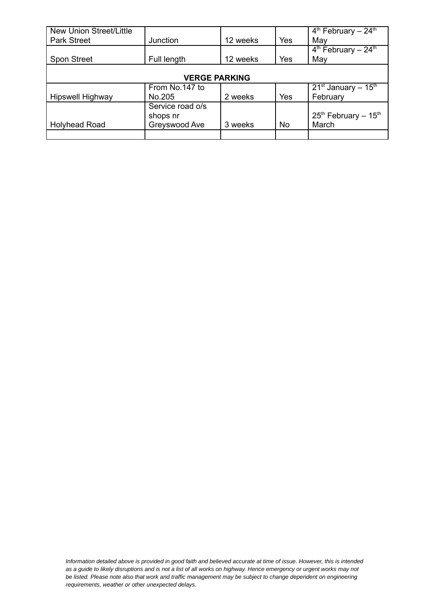| <b>New Union Street/Little</b> |                  |          |     | $4th$ February - 24 <sup>th</sup> |  |
|--------------------------------|------------------|----------|-----|-----------------------------------|--|
| <b>Park Street</b>             | Junction         | 12 weeks | Yes | May                               |  |
|                                |                  |          |     | $4th$ February - 24 <sup>th</sup> |  |
| <b>Spon Street</b>             | Full length      | 12 weeks | Yes | May                               |  |
|                                |                  |          |     |                                   |  |
| <b>VERGE PARKING</b>           |                  |          |     |                                   |  |
|                                | From No.147 to   |          |     | $21^{st}$ January - $15^{th}$     |  |
| Hipswell Highway               | No.205           | 2 weeks  | Yes | February                          |  |
|                                | Service road o/s |          |     |                                   |  |
|                                | shops nr         |          |     | $25th$ February - $15th$          |  |
| <b>Holyhead Road</b>           | Greyswood Ave    | 3 weeks  | No  | March                             |  |
|                                |                  |          |     |                                   |  |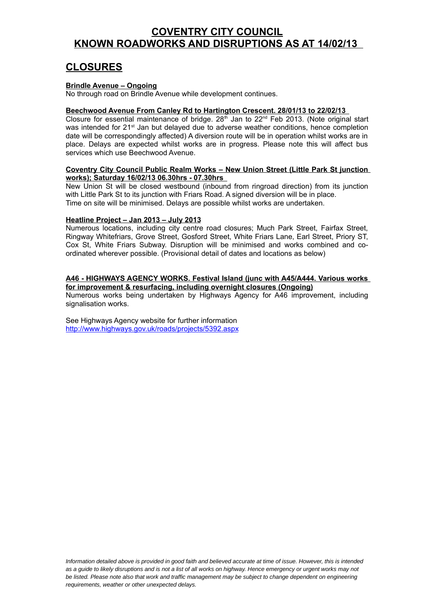# **COVENTRY CITY COUNCIL KNOWN ROADWORKS AND DISRUPTIONS AS AT 14/02/13**

# **CLOSURES**

### **Brindle Avenue – Ongoing**

No through road on Brindle Avenue while development continues.

#### **Beechwood Avenue From Canley Rd to Hartington Crescent. 28/01/13 to 22/02/13**

Closure for essential maintenance of bridge.  $28<sup>th</sup>$  Jan to  $22<sup>nd</sup>$  Feb 2013. (Note original start was intended for 21<sup>st</sup> Jan but delayed due to adverse weather conditions, hence completion date will be correspondingly affected) A diversion route will be in operation whilst works are in place. Delays are expected whilst works are in progress. Please note this will affect bus services which use Beechwood Avenue.

#### **Coventry City Council Public Realm Works – New Union Street (Little Park St junction works); Saturday 16/02/13 06.30hrs - 07.30hrs**

New Union St will be closed westbound (inbound from ringroad direction) from its junction with Little Park St to its junction with Friars Road. A signed diversion will be in place. Time on site will be minimised. Delays are possible whilst works are undertaken.

#### **Heatline Project – Jan 2013 – July 2013**

Numerous locations, including city centre road closures; Much Park Street, Fairfax Street, Ringway Whitefriars, Grove Street, Gosford Street, White Friars Lane, Earl Street, Priory ST, Cox St, White Friars Subway. Disruption will be minimised and works combined and coordinated wherever possible. (Provisional detail of dates and locations as below)

# **A46 - HIGHWAYS AGENCY WORKS. Festival Island (junc with A45/A444. Various works**

**for improvement & resurfacing, including overnight closures (Ongoing)** Numerous works being undertaken by Highways Agency for A46 improvement, including signalisation works.

See Highways Agency website for further information <http://www.highways.gov.uk/roads/projects/5392.aspx>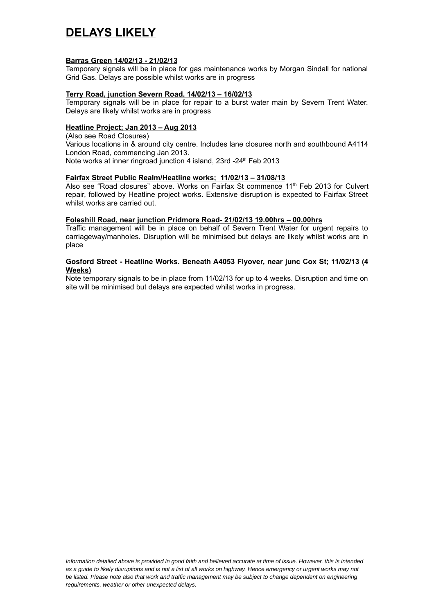# **DELAYS LIKELY**

#### **Barras Green 14/02/13 - 21/02/13**

Temporary signals will be in place for gas maintenance works by Morgan Sindall for national Grid Gas. Delays are possible whilst works are in progress

## **Terry Road, junction Severn Road. 14/02/13 – 16/02/13**

Temporary signals will be in place for repair to a burst water main by Severn Trent Water. Delays are likely whilst works are in progress

## **Heatline Project; Jan 2013 – Aug 2013**

(Also see Road Closures) Various locations in & around city centre. Includes lane closures north and southbound A4114 London Road, commencing Jan 2013. Note works at inner ringroad junction 4 island, 23rd -24<sup>th</sup> Feb 2013

## **Fairfax Street Public Realm/Heatline works; 11/02/13 – 31/08/13**

Also see "Road closures" above. Works on Fairfax St commence  $11<sup>th</sup>$  Feb 2013 for Culvert repair, followed by Heatline project works. Extensive disruption is expected to Fairfax Street whilst works are carried out.

#### **Foleshill Road, near junction Pridmore Road- 21/02/13 19.00hrs – 00.00hrs**

Traffic management will be in place on behalf of Severn Trent Water for urgent repairs to carriageway/manholes. Disruption will be minimised but delays are likely whilst works are in place

#### **Gosford Street - Heatline Works. Beneath A4053 Flyover, near junc Cox St; 11/02/13 (4 Weeks)**

Note temporary signals to be in place from 11/02/13 for up to 4 weeks. Disruption and time on site will be minimised but delays are expected whilst works in progress.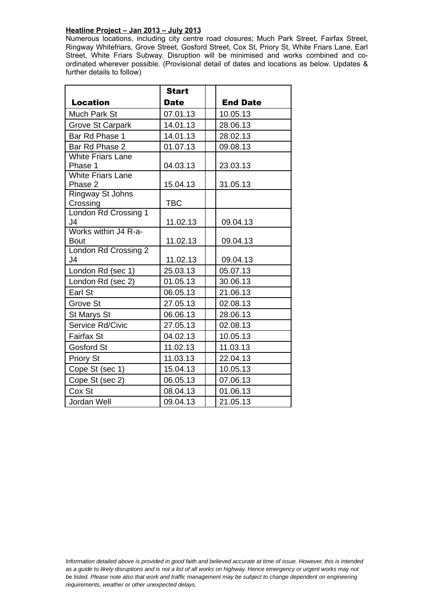# **Heatline Project – Jan 2013 – July 2013**

Numerous locations, including city centre road closures; Much Park Street, Fairfax Street, Ringway Whitefriars, Grove Street, Gosford Street, Cox St, Priory St, White Friars Lane, Earl Street, White Friars Subway. Disruption will be minimised and works combined and coordinated wherever possible. (Provisional detail of dates and locations as below. Updates & further details to follow)

|                                        | <b>Start</b> |                 |
|----------------------------------------|--------------|-----------------|
| <b>Location</b>                        | <b>Date</b>  | <b>End Date</b> |
| Much Park St                           | 07.01.13     | 10.05.13        |
| <b>Grove St Carpark</b>                | 14.01.13     | 28.06.13        |
| Bar Rd Phase 1                         | 14.01.13     | 28.02.13        |
| Bar Rd Phase 2                         | 01.07.13     | 09.08.13        |
| <b>White Friars Lane</b>               |              |                 |
| Phase 1                                | 04.03.13     | 23.03.13        |
| <b>White Friars Lane</b>               |              |                 |
| Phase 2                                | 15.04.13     | 31.05.13        |
| <b>Ringway St Johns</b>                |              |                 |
| Crossing                               | <b>TBC</b>   |                 |
| London Rd Crossing 1<br>J <sub>4</sub> | 11.02.13     | 09.04.13        |
| Works within J4 R-a-                   |              |                 |
| <b>Bout</b>                            | 11.02.13     | 09.04.13        |
| London Rd Crossing 2                   |              |                 |
| J <sub>4</sub>                         | 11.02.13     | 09.04.13        |
| London Rd (sec 1)                      | 25.03.13     | 05.07.13        |
| London Rd (sec 2)                      | 01.05.13     | 30.06.13        |
| Earl St                                | 06.05.13     | 21.06.13        |
| Grove St                               | 27.05.13     | 02.08.13        |
| St Marys St                            | 06.06.13     | 28.06.13        |
| Service Rd/Civic                       | 27.05.13     | 02.08.13        |
| <b>Fairfax St</b>                      | 04.02.13     | 10.05.13        |
| Gosford St                             | 11.02.13     | 11.03.13        |
| <b>Priory St</b>                       | 11.03.13     | 22.04.13        |
| Cope St (sec 1)                        | 15.04.13     | 10.05.13        |
| Cope St (sec 2)                        | 06.05.13     | 07.06.13        |
| Cox St                                 | 08.04.13     | 01.06.13        |
| Jordan Well                            | 09.04.13     | 21.05.13        |